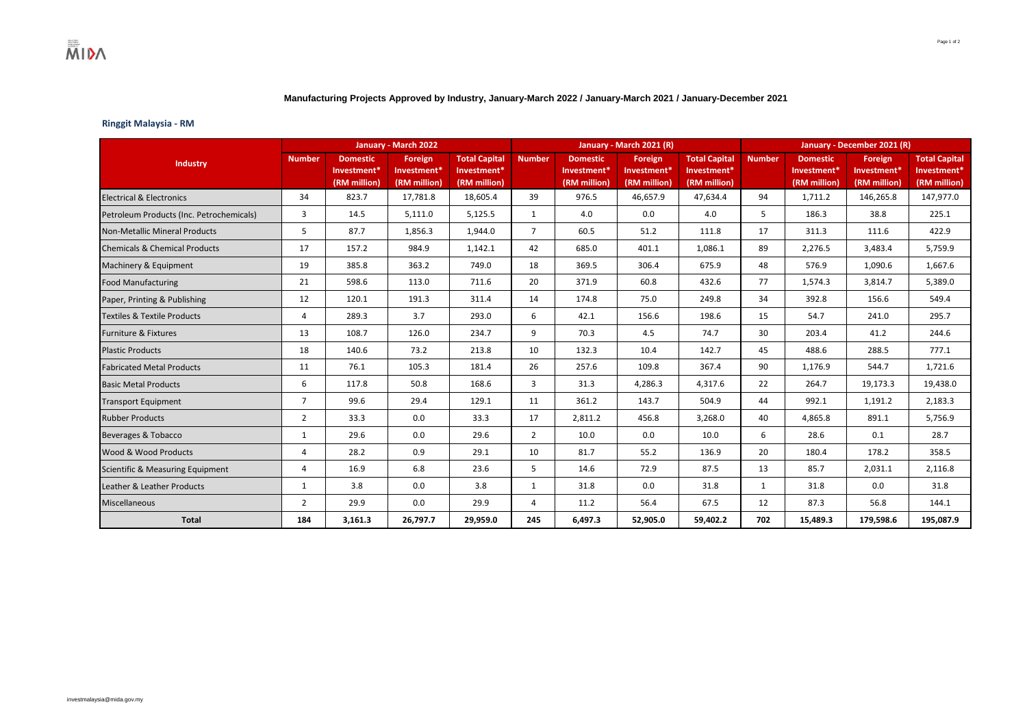## **Manufacturing Projects Approved by Industry, January-March 2022 / January-March 2021 / January-December 2021**

## **Ringgit Malaysia - RM**

| Industry                                 | January - March 2022 |                         |                         |                      |                |                 | January - March 2021 (R) |                      | January - December 2021 (R) |                 |              |                      |
|------------------------------------------|----------------------|-------------------------|-------------------------|----------------------|----------------|-----------------|--------------------------|----------------------|-----------------------------|-----------------|--------------|----------------------|
|                                          | <b>Number</b>        | <b>Domestic</b>         | <b>Foreign</b>          | <b>Total Capital</b> | <b>Number</b>  | <b>Domestic</b> | Foreign                  | <b>Total Capital</b> | <b>Number</b>               | <b>Domestic</b> | Foreign      | <b>Total Capital</b> |
|                                          |                      | Investment <sup>*</sup> | Investment <sup>*</sup> | Investment*          |                | Investment*     | Investment <sup>*</sup>  | Investment*          |                             | Investment*     | Investment*  | Investment*          |
|                                          |                      | (RM million)            | (RM million)            | (RM million)         |                | (RM million)    | (RM million)             | (RM million)         |                             | (RM million)    | (RM million) | (RM million)         |
| <b>Electrical &amp; Electronics</b>      | 34                   | 823.7                   | 17,781.8                | 18,605.4             | 39             | 976.5           | 46,657.9                 | 47,634.4             | 94                          | 1,711.2         | 146,265.8    | 147,977.0            |
| Petroleum Products (Inc. Petrochemicals) | 3                    | 14.5                    | 5,111.0                 | 5,125.5              | 1              | 4.0             | 0.0                      | 4.0                  | 5                           | 186.3           | 38.8         | 225.1                |
| <b>Non-Metallic Mineral Products</b>     | 5                    | 87.7                    | 1,856.3                 | 1,944.0              | $\overline{7}$ | 60.5            | 51.2                     | 111.8                | 17                          | 311.3           | 111.6        | 422.9                |
| <b>Chemicals &amp; Chemical Products</b> | 17                   | 157.2                   | 984.9                   | 1,142.1              | 42             | 685.0           | 401.1                    | 1,086.1              | 89                          | 2,276.5         | 3,483.4      | 5,759.9              |
| Machinery & Equipment                    | 19                   | 385.8                   | 363.2                   | 749.0                | 18             | 369.5           | 306.4                    | 675.9                | 48                          | 576.9           | 1,090.6      | 1,667.6              |
| <b>Food Manufacturing</b>                | 21                   | 598.6                   | 113.0                   | 711.6                | 20             | 371.9           | 60.8                     | 432.6                | 77                          | 1,574.3         | 3,814.7      | 5,389.0              |
| Paper, Printing & Publishing             | 12                   | 120.1                   | 191.3                   | 311.4                | 14             | 174.8           | 75.0                     | 249.8                | 34                          | 392.8           | 156.6        | 549.4                |
| <b>Textiles &amp; Textile Products</b>   | 4                    | 289.3                   | 3.7                     | 293.0                | 6              | 42.1            | 156.6                    | 198.6                | 15                          | 54.7            | 241.0        | 295.7                |
| <b>Furniture &amp; Fixtures</b>          | 13                   | 108.7                   | 126.0                   | 234.7                | 9              | 70.3            | 4.5                      | 74.7                 | 30                          | 203.4           | 41.2         | 244.6                |
| <b>Plastic Products</b>                  | 18                   | 140.6                   | 73.2                    | 213.8                | 10             | 132.3           | 10.4                     | 142.7                | 45                          | 488.6           | 288.5        | 777.1                |
| <b>Fabricated Metal Products</b>         | 11                   | 76.1                    | 105.3                   | 181.4                | 26             | 257.6           | 109.8                    | 367.4                | 90                          | 1,176.9         | 544.7        | 1,721.6              |
| <b>Basic Metal Products</b>              | 6                    | 117.8                   | 50.8                    | 168.6                | 3              | 31.3            | 4,286.3                  | 4,317.6              | 22                          | 264.7           | 19,173.3     | 19,438.0             |
| <b>Transport Equipment</b>               | $\overline{7}$       | 99.6                    | 29.4                    | 129.1                | 11             | 361.2           | 143.7                    | 504.9                | 44                          | 992.1           | 1,191.2      | 2,183.3              |
| <b>Rubber Products</b>                   | $\overline{2}$       | 33.3                    | 0.0                     | 33.3                 | 17             | 2,811.2         | 456.8                    | 3,268.0              | 40                          | 4,865.8         | 891.1        | 5,756.9              |
| <b>Beverages &amp; Tobacco</b>           | $\mathbf{1}$         | 29.6                    | 0.0                     | 29.6                 | $\overline{2}$ | 10.0            | 0.0                      | 10.0                 | 6                           | 28.6            | 0.1          | 28.7                 |
| Wood & Wood Products                     | 4                    | 28.2                    | 0.9                     | 29.1                 | 10             | 81.7            | 55.2                     | 136.9                | 20                          | 180.4           | 178.2        | 358.5                |
| Scientific & Measuring Equipment         | 4                    | 16.9                    | 6.8                     | 23.6                 | 5              | 14.6            | 72.9                     | 87.5                 | 13                          | 85.7            | 2,031.1      | 2,116.8              |
| Leather & Leather Products               | 1                    | 3.8                     | 0.0                     | 3.8                  | 1              | 31.8            | 0.0                      | 31.8                 | 1                           | 31.8            | 0.0          | 31.8                 |
| Miscellaneous                            | $\overline{2}$       | 29.9                    | 0.0                     | 29.9                 | $\overline{4}$ | 11.2            | 56.4                     | 67.5                 | 12                          | 87.3            | 56.8         | 144.1                |
| <b>Total</b>                             | 184                  | 3,161.3                 | 26,797.7                | 29,959.0             | 245            | 6,497.3         | 52,905.0                 | 59,402.2             | 702                         | 15,489.3        | 179,598.6    | 195,087.9            |